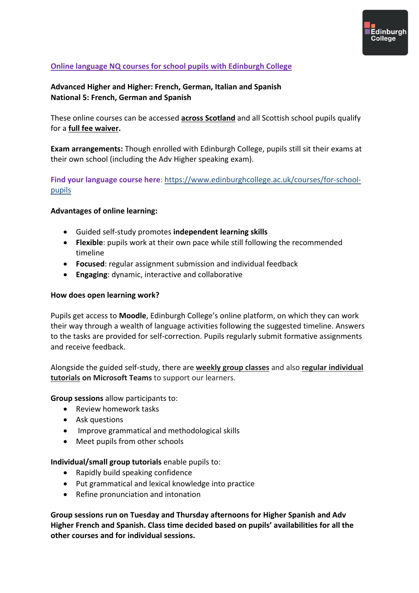

# **Online language NQ courses for school pupils with Edinburgh College**

## **Advanced Higher and Higher: French, German, Italian and Spanish National 5: French, German and Spanish**

These online courses can be accessed **across Scotland** and all Scottish school pupils qualify for a **full fee waiver.**

**Exam arrangements:** Though enrolled with Edinburgh College, pupils still sit their exams at their own school (including the Adv Higher speaking exam).

**Find your language course here**: [https://www.edinburghcollege.ac.uk/courses/for-school](https://www.edinburghcollege.ac.uk/courses/for-school-pupils)[pupils](https://www.edinburghcollege.ac.uk/courses/for-school-pupils)

#### **Advantages of online learning:**

- Guided self-study promotes **independent learning skills**
- **Flexible**: pupils work at their own pace while still following the recommended timeline
- **Focused**: regular assignment submission and individual feedback
- **Engaging**: dynamic, interactive and collaborative

#### **How does open learning work?**

Pupils get access to **Moodle**, Edinburgh College's online platform, on which they can work their way through a wealth of language activities following the suggested timeline. Answers to the tasks are provided for self-correction. Pupils regularly submit formative assignments and receive feedback.

Alongside the guided self-study, there are **weekly group classes** and also **regular individual tutorials on Microsoft Teams** to support our learners.

**Group sessions** allow participants to:

- Review homework tasks
- Ask questions
- Improve grammatical and methodological skills
- Meet pupils from other schools

**Individual/small group tutorials** enable pupils to:

- Rapidly build speaking confidence
- Put grammatical and lexical knowledge into practice
- Refine pronunciation and intonation

**Group sessions run on Tuesday and Thursday afternoons for Higher Spanish and Adv Higher French and Spanish. Class time decided based on pupils' availabilities for all the other courses and for individual sessions.**